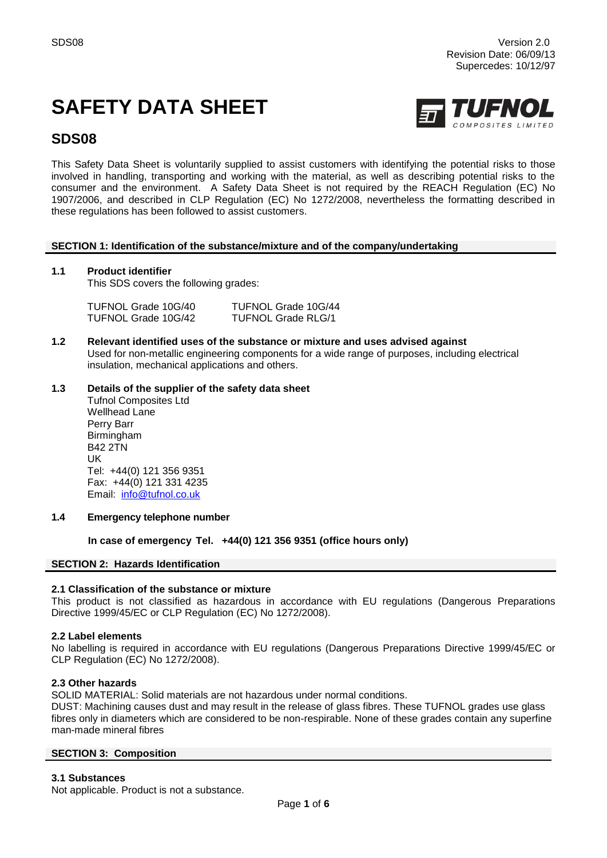# **SAFETY DATA SHEET**



# **SDS08**

This Safety Data Sheet is voluntarily supplied to assist customers with identifying the potential risks to those involved in handling, transporting and working with the material, as well as describing potential risks to the consumer and the environment. A Safety Data Sheet is not required by the REACH Regulation (EC) No 1907/2006, and described in CLP Regulation (EC) No 1272/2008, nevertheless the formatting described in these regulations has been followed to assist customers.

# **SECTION 1: Identification of the substance/mixture and of the company/undertaking**

# **1.1 Product identifier**

This SDS covers the following grades:

| TUFNOL Grade 10G/40 | TUFNOL Grade 10G/44       |
|---------------------|---------------------------|
| TUFNOL Grade 10G/42 | <b>TUFNOL Grade RLG/1</b> |

**1.2 Relevant identified uses of the substance or mixture and uses advised against** Used for non-metallic engineering components for a wide range of purposes, including electrical insulation, mechanical applications and others.

# **1.3 Details of the supplier of the safety data sheet**

Tufnol Composites Ltd Wellhead Lane Perry Barr Birmingham B42 2TN UK Tel: +44(0) 121 356 9351 Fax: +44(0) 121 331 4235 Email: [info@tufnol.co.uk](mailto:info@tufnol.co.uk)

# **1.4 Emergency telephone number**

# **In case of emergency Tel. +44(0) 121 356 9351 (office hours only)**

# **SECTION 2: Hazards Identification**

# **2.1 Classification of the substance or mixture**

This product is not classified as hazardous in accordance with EU regulations (Dangerous Preparations Directive 1999/45/EC or CLP Regulation (EC) No 1272/2008).

# **2.2 Label elements**

No labelling is required in accordance with EU regulations (Dangerous Preparations Directive 1999/45/EC or CLP Regulation (EC) No 1272/2008).

# **2.3 Other hazards**

SOLID MATERIAL: Solid materials are not hazardous under normal conditions.

DUST: Machining causes dust and may result in the release of glass fibres. These TUFNOL grades use glass fibres only in diameters which are considered to be non-respirable. None of these grades contain any superfine man-made mineral fibres

# **SECTION 3: Composition**

# **3.1 Substances**

Not applicable. Product is not a substance.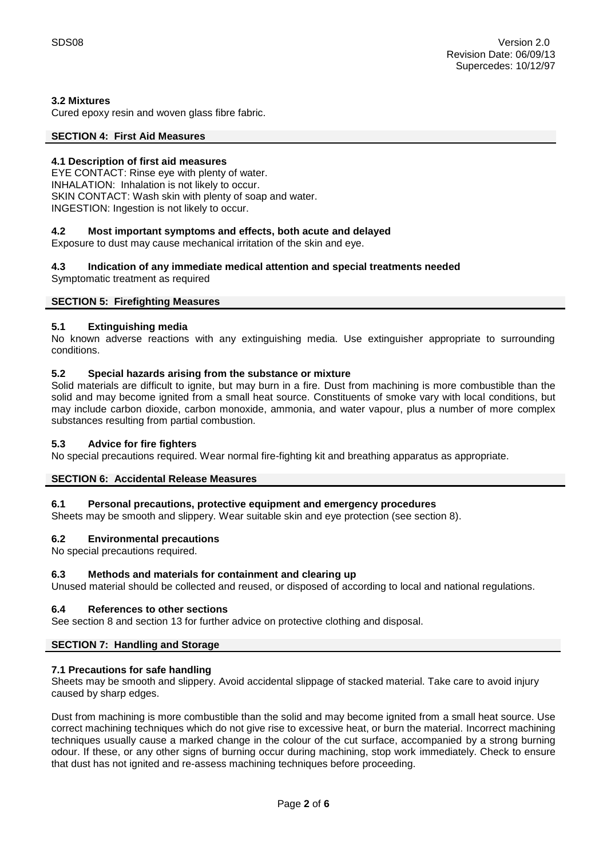# **3.2 Mixtures**

Cured epoxy resin and woven glass fibre fabric.

# **SECTION 4: First Aid Measures**

# **4.1 Description of first aid measures**

EYE CONTACT: Rinse eye with plenty of water. INHALATION: Inhalation is not likely to occur. SKIN CONTACT: Wash skin with plenty of soap and water. INGESTION: Ingestion is not likely to occur.

# **4.2 Most important symptoms and effects, both acute and delayed**

Exposure to dust may cause mechanical irritation of the skin and eye.

# **4.3 Indication of any immediate medical attention and special treatments needed**

Symptomatic treatment as required

# **SECTION 5: Firefighting Measures**

# **5.1 Extinguishing media**

No known adverse reactions with any extinguishing media. Use extinguisher appropriate to surrounding conditions.

# **5.2 Special hazards arising from the substance or mixture**

Solid materials are difficult to ignite, but may burn in a fire. Dust from machining is more combustible than the solid and may become ignited from a small heat source. Constituents of smoke vary with local conditions, but may include carbon dioxide, carbon monoxide, ammonia, and water vapour, plus a number of more complex substances resulting from partial combustion.

# **5.3 Advice for fire fighters**

No special precautions required. Wear normal fire-fighting kit and breathing apparatus as appropriate.

# **SECTION 6: Accidental Release Measures**

# **6.1 Personal precautions, protective equipment and emergency procedures**

Sheets may be smooth and slippery. Wear suitable skin and eye protection (see section 8).

# **6.2 Environmental precautions**

No special precautions required.

# **6.3 Methods and materials for containment and clearing up**

Unused material should be collected and reused, or disposed of according to local and national regulations.

# **6.4 References to other sections**

See section 8 and section 13 for further advice on protective clothing and disposal.

# **SECTION 7: Handling and Storage**

# **7.1 Precautions for safe handling**

Sheets may be smooth and slippery. Avoid accidental slippage of stacked material. Take care to avoid injury caused by sharp edges.

Dust from machining is more combustible than the solid and may become ignited from a small heat source. Use correct machining techniques which do not give rise to excessive heat, or burn the material. Incorrect machining techniques usually cause a marked change in the colour of the cut surface, accompanied by a strong burning odour. If these, or any other signs of burning occur during machining, stop work immediately. Check to ensure that dust has not ignited and re-assess machining techniques before proceeding.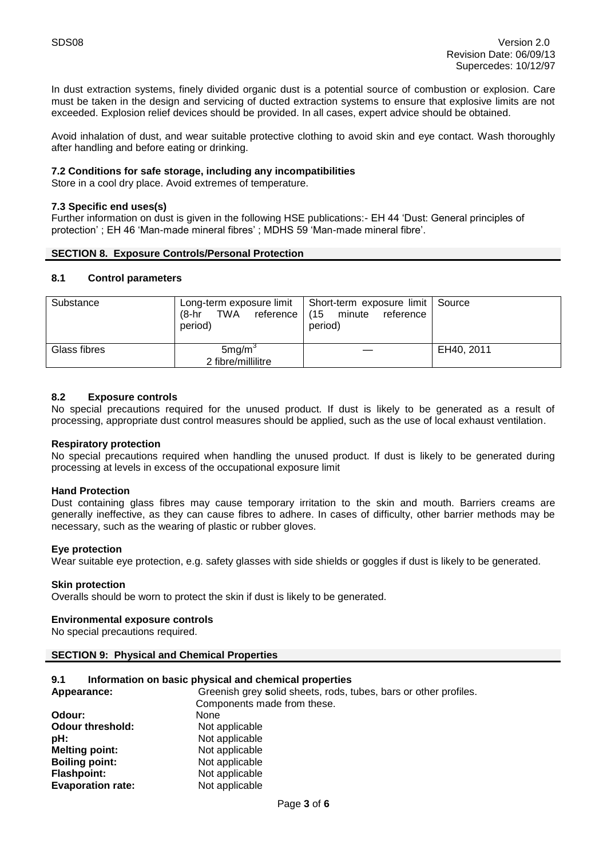In dust extraction systems, finely divided organic dust is a potential source of combustion or explosion. Care must be taken in the design and servicing of ducted extraction systems to ensure that explosive limits are not exceeded. Explosion relief devices should be provided. In all cases, expert advice should be obtained.

Avoid inhalation of dust, and wear suitable protective clothing to avoid skin and eye contact. Wash thoroughly after handling and before eating or drinking.

# **7.2 Conditions for safe storage, including any incompatibilities**

Store in a cool dry place. Avoid extremes of temperature.

#### **7.3 Specific end uses(s)**

Further information on dust is given in the following HSE publications:- EH 44 'Dust: General principles of protection' ; EH 46 'Man-made mineral fibres' ; MDHS 59 'Man-made mineral fibre'.

#### **SECTION 8. Exposure Controls/Personal Protection**

#### **8.1 Control parameters**

| Substance    | (8-hr<br>TWA<br>reference  <br>period)   | Long-term exposure limit   Short-term exposure limit   Source<br>(15 minute<br>reference<br>period) |            |
|--------------|------------------------------------------|-----------------------------------------------------------------------------------------------------|------------|
| Glass fibres | 5mg/m <sup>3</sup><br>2 fibre/millilitre |                                                                                                     | EH40, 2011 |

# **8.2 Exposure controls**

No special precautions required for the unused product. If dust is likely to be generated as a result of processing, appropriate dust control measures should be applied, such as the use of local exhaust ventilation.

#### **Respiratory protection**

No special precautions required when handling the unused product. If dust is likely to be generated during processing at levels in excess of the occupational exposure limit

#### **Hand Protection**

Dust containing glass fibres may cause temporary irritation to the skin and mouth. Barriers creams are generally ineffective, as they can cause fibres to adhere. In cases of difficulty, other barrier methods may be necessary, such as the wearing of plastic or rubber gloves.

#### **Eye protection**

Wear suitable eye protection, e.g. safety glasses with side shields or goggles if dust is likely to be generated.

#### **Skin protection**

Overalls should be worn to protect the skin if dust is likely to be generated.

#### **Environmental exposure controls**

No special precautions required.

# **SECTION 9: Physical and Chemical Properties**

#### **9.1 Information on basic physical and chemical properties**

| Appearance:              | Greenish grey solid sheets, rods, tubes, bars or other profiles. |  |  |
|--------------------------|------------------------------------------------------------------|--|--|
|                          | Components made from these.                                      |  |  |
| Odour:                   | None                                                             |  |  |
| <b>Odour threshold:</b>  | Not applicable                                                   |  |  |
| pH:                      | Not applicable                                                   |  |  |
| <b>Melting point:</b>    | Not applicable                                                   |  |  |
| <b>Boiling point:</b>    | Not applicable                                                   |  |  |
| <b>Flashpoint:</b>       | Not applicable                                                   |  |  |
| <b>Evaporation rate:</b> | Not applicable                                                   |  |  |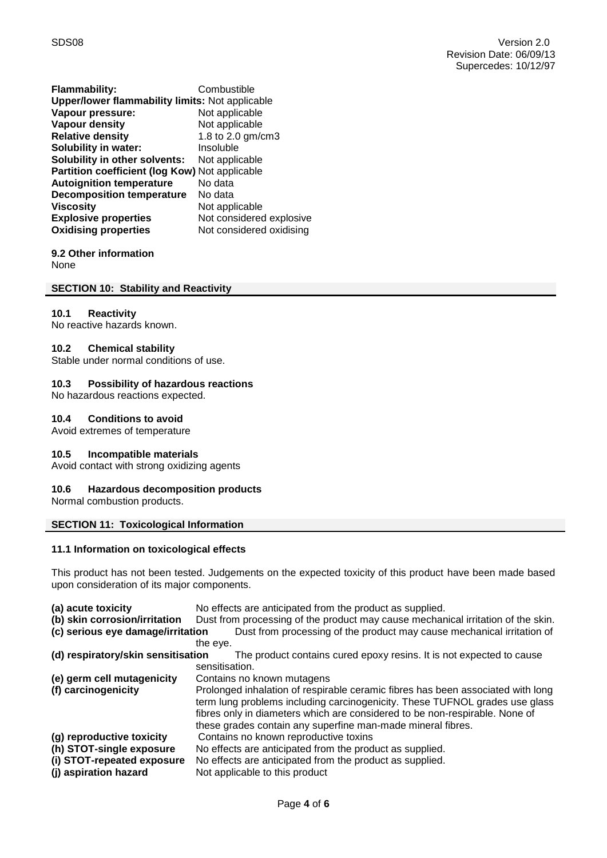| <b>Flammability:</b>                                   | Combustible              |  |  |
|--------------------------------------------------------|--------------------------|--|--|
| <b>Upper/lower flammability limits: Not applicable</b> |                          |  |  |
| Vapour pressure:                                       | Not applicable           |  |  |
| <b>Vapour density</b>                                  | Not applicable           |  |  |
| <b>Relative density</b>                                | 1.8 to 2.0 gm/cm3        |  |  |
| <b>Solubility in water:</b>                            | Insoluble                |  |  |
| Solubility in other solvents:                          | Not applicable           |  |  |
| Partition coefficient (log Kow) Not applicable         |                          |  |  |
| <b>Autoignition temperature</b>                        | No data                  |  |  |
| <b>Decomposition temperature</b>                       | No data                  |  |  |
| <b>Viscosity</b>                                       | Not applicable           |  |  |
| <b>Explosive properties</b>                            | Not considered explosive |  |  |
| <b>Oxidising properties</b>                            | Not considered oxidising |  |  |
|                                                        |                          |  |  |

# **9.2 Other information**

None

# **SECTION 10: Stability and Reactivity**

#### **10.1 Reactivity**

No reactive hazards known.

#### **10.2 Chemical stability**

Stable under normal conditions of use.

# **10.3 Possibility of hazardous reactions**

No hazardous reactions expected.

# **10.4 Conditions to avoid**

Avoid extremes of temperature

# **10.5 Incompatible materials**

Avoid contact with strong oxidizing agents

# **10.6 Hazardous decomposition products**

Normal combustion products.

# **SECTION 11: Toxicological Information**

# **11.1 Information on toxicological effects**

This product has not been tested. Judgements on the expected toxicity of this product have been made based upon consideration of its major components.

| (a) acute toxicity                 | No effects are anticipated from the product as supplied.                         |  |  |  |
|------------------------------------|----------------------------------------------------------------------------------|--|--|--|
| (b) skin corrosion/irritation      | Dust from processing of the product may cause mechanical irritation of the skin. |  |  |  |
| (c) serious eye damage/irritation  | Dust from processing of the product may cause mechanical irritation of           |  |  |  |
|                                    | the eye.                                                                         |  |  |  |
| (d) respiratory/skin sensitisation | The product contains cured epoxy resins. It is not expected to cause             |  |  |  |
|                                    | sensitisation.                                                                   |  |  |  |
| (e) germ cell mutagenicity         | Contains no known mutagens                                                       |  |  |  |
| (f) carcinogenicity                | Prolonged inhalation of respirable ceramic fibres has been associated with long  |  |  |  |
|                                    | term lung problems including carcinogenicity. These TUFNOL grades use glass      |  |  |  |
|                                    | fibres only in diameters which are considered to be non-respirable. None of      |  |  |  |
|                                    | these grades contain any superfine man-made mineral fibres.                      |  |  |  |
| (g) reproductive toxicity          | Contains no known reproductive toxins                                            |  |  |  |
| (h) STOT-single exposure           | No effects are anticipated from the product as supplied.                         |  |  |  |
| (i) STOT-repeated exposure         | No effects are anticipated from the product as supplied.                         |  |  |  |
| (j) aspiration hazard              | Not applicable to this product                                                   |  |  |  |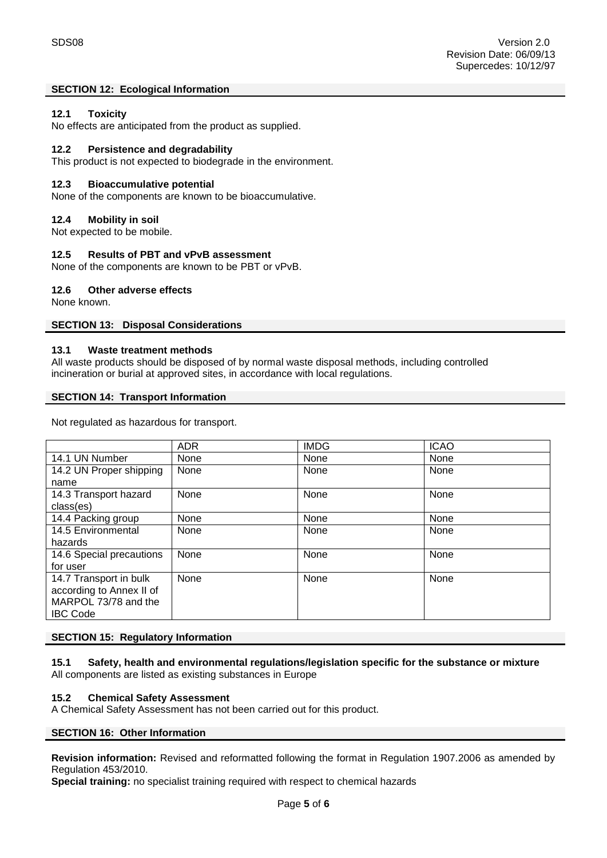# **SECTION 12: Ecological Information**

# **12.1 Toxicity**

No effects are anticipated from the product as supplied.

# **12.2 Persistence and degradability**

This product is not expected to biodegrade in the environment.

# **12.3 Bioaccumulative potential**

None of the components are known to be bioaccumulative.

# **12.4 Mobility in soil**

Not expected to be mobile.

#### **12.5 Results of PBT and vPvB assessment**

None of the components are known to be PBT or vPvB.

#### **12.6 Other adverse effects**

None known.

#### **SECTION 13: Disposal Considerations**

# **13.1 Waste treatment methods**

All waste products should be disposed of by normal waste disposal methods, including controlled incineration or burial at approved sites, in accordance with local regulations.

#### **SECTION 14: Transport Information**

Not regulated as hazardous for transport.

|                          | <b>ADR</b> | <b>IMDG</b> | <b>ICAO</b> |
|--------------------------|------------|-------------|-------------|
| 14.1 UN Number           | None       | None        | None        |
| 14.2 UN Proper shipping  | None       | None        | None        |
| name                     |            |             |             |
| 14.3 Transport hazard    | None       | None        | None        |
| class(es)                |            |             |             |
| 14.4 Packing group       | None       | None        | None        |
| 14.5 Environmental       | None       | None        | None        |
| hazards                  |            |             |             |
| 14.6 Special precautions | None       | None        | None        |
| for user                 |            |             |             |
| 14.7 Transport in bulk   | None       | None        | None        |
| according to Annex II of |            |             |             |
| MARPOL 73/78 and the     |            |             |             |
| <b>IBC Code</b>          |            |             |             |

# **SECTION 15: Regulatory Information**

**15.1 Safety, health and environmental regulations/legislation specific for the substance or mixture** All components are listed as existing substances in Europe

# **15.2 Chemical Safety Assessment**

A Chemical Safety Assessment has not been carried out for this product.

# **SECTION 16: Other Information**

**Revision information:** Revised and reformatted following the format in Regulation 1907.2006 as amended by Regulation 453/2010.

**Special training:** no specialist training required with respect to chemical hazards